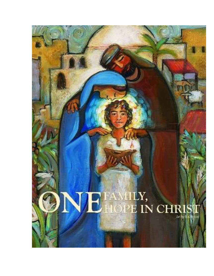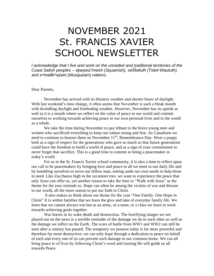## NOVEMBER 2021 St. FRANCIS XAVIER SCHOOL NEWSLETTER

*I acknowledge that I live and work on the unceded and traditional territories of the Coast Salish peoples – sḵwx̱wú7mesh (Squamish), sel íl ̓witulh (Tsleil-Waututh), ̓ and xʷməθkʷəy̓əm (Musqueam) nations.*

Dear Parents,

November has arrived with its blustery weather and shorter hours of daylight. With last weekend's time change, it often seems that November is such a bleak month with dwindling daylight and foreboding weather. However, November has its upside as well as it is a month where we reflect on the value of peace in our world and commit ourselves to working towards achieving peace in our own personal lives and in the world as a whole.

We take the time during November to pay tribute to the brave young men and women who sacrificed everything to keep our nation strong and free. As Canadians we need to continue to honour them on November  $11<sup>th</sup>$ , Remembrance Day. Wear a poppy both as a sign of respect for the generations who gave so much so that future generations could have the freedom to build a world of peace, and as a sign of your commitment to never forget that sacrifice. This is a good time to commit to being a peacemaker in today's world.

For us in the St. Francis Xavier school community, it is also a time to reflect upon our call to be peacemakers by bringing love and peace to all we meet in our daily life and by humbling ourselves to serve our fellow man, setting aside our own needs to help those in need. Like Zacchaeus high in the sycamore tree, we want to experience the peace that only Jesus can offer us, yet another reason to take the time to "Walk with Jesus" as the theme for the year reminds us. Hope can often be among the victims of war and disease in our world, all the more reason to put our faith in Christ.

It also makes us think about our theme for the year "One Family. One Hope in Christ" It is within families that we learn the give and take of everyday family life. We learn that we cannot always win but as an army, or a team, or a class we learn to work towards achieving goals together.

War leaves in its wake death and destruction. The horrifying images we see played out on the news is a terrible reminder of the damage we do to each other as well as the damage we inflict on the Earth. The scars of battle from WW1 and WW2 can still be seen after a century has passed. The weaponry we possess today is far more powerful and therefore far more destructive; we can only hope through a dedication to peace on behalf of each and every one of us can prevent such damage to our common home. We can all bring peace to of lives by following Christ's word and trusting He will guide us all towards Peace.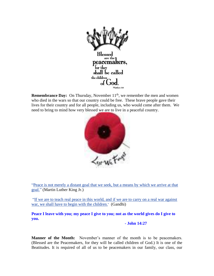

**Remembrance Day:** On Thursday, November 11<sup>th</sup>, we remember the men and women who died in the wars so that our country could be free. These brave people gave their lives for their country and for all people, including us, who would come after them. We need to bring to mind how very blessed we are to live in a peaceful country.



["Peace is not merely a distant goal that we seek, but a means by which we arrive at that](http://thinkexist.com/quotation/peace_is_not_merely_a_distant_goal_that_we_seek/264331.html)  [goal."](http://thinkexist.com/quotation/peace_is_not_merely_a_distant_goal_that_we_seek/264331.html) (Martin Luther King Jr.)

["If we are to teach real peace in this world, and if we are to carry on a real war against](http://thinkexist.com/quotation/if_we_are_to_teach_real_peace_in_this_world-and/14282.html)  [war, we shall have to begin with the children.](http://thinkexist.com/quotation/if_we_are_to_teach_real_peace_in_this_world-and/14282.html)" (Gandhi)

**Peace I leave with you; my peace I give to you; not as the world gives do I give to you.**

## **- John 14:27**

**Manner of the Month:** November's manner of the month is to be peacemakers. (Blessed are the Peacemakers, for they will be called children of God.) It is one of the Beatitudes. It is required of all of us to be peacemakers in our family, our class, our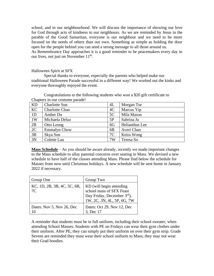school, and in our neighbourhood. We will discuss the importance of showing our love for God through acts of kindness to our neighbours. As we are reminded by Jesus in the parable of the Good Samaritan, everyone is our neighbour and we need to be more focused on the needs of others than our own. Something as simple as holding the door open for the people behind you can send a strong message to all those around us.

As Remembrance Day approaches it is a good reminder to be peacemakers every day in our lives, not just on November  $11<sup>th</sup>$ .

## Halloween Spirit at SFX

Special thanks to everyone, especially the parents who helped make our traditional Halloween Parade successful in a different way! We worked out the kinks and everyone thoroughly enjoyed the event.

| Chapters in our costanic parade. |                       |                |                |  |  |
|----------------------------------|-----------------------|----------------|----------------|--|--|
| KD                               | <b>Charlotte Sun</b>  | 4L             | Morgan Tse     |  |  |
| KC                               | <b>Charlotte Chan</b> | 4C             | Marcus Yip     |  |  |
| 1D                               | Amber Du              | 5C             | Mila Mason     |  |  |
| 1W                               | Michaela Deluz        | 5P             | Sabrina Ju     |  |  |
| 2B                               | Otto Leung            | 6G             | Helianthus Lee |  |  |
| 2C                               | <b>Emmalyn Chow</b>   | 6 <sub>B</sub> | Averi Chan     |  |  |
| 3B                               | Skya Sun              | 7C             | Keira Wong     |  |  |
| 3N                               | Colette Lau           | 7W             | Teresa So      |  |  |

Congratulations to the following students who won a \$20 gift certificate to Chapters in our costume parade!

**Mass Schedule** – As you should be aware already, recently we made important changes to the Mass schedule to allay parental concerns over seating in Mass. We devised a new schedule to have half of the classes attending Mass. Please find below the schedule for Masses from now until Christmas holidays. A new schedule will be sent home in January 2022 if necessary.

| Group One                         | Group Two                                                                                                        |  |
|-----------------------------------|------------------------------------------------------------------------------------------------------------------|--|
| KC, 1D, 2B, 3B, 4C, 5C, 6B,<br>7C | KD (will begin attending<br>school mass of SFX Feast<br>Day Friday, December 3rd),<br>1W, 2C, 3N, 4L, 5P, 6G, 7W |  |
| Dates: Nov 5, Nov 26, Dec         | Dates: Oct 29, Nov 12, Dec<br>3, Dec 17                                                                          |  |

A reminder that students must be in full uniform, including their school sweater, when attending School Masses. Students with PE on Fridays can wear their gym clothes under their uniform. After PE, they can simply put their uniform on over their gym strip. Grade Sevens are reminded they must wear their school uniform to Mass; they may not wear their Grad hoodies.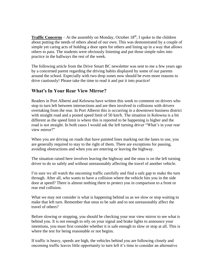**Traffic Concerns** – At the assembly on Monday, October  $18<sup>th</sup>$ , I spoke to the children about putting the needs of others ahead of our own. This was demonstrated by a couple of simple yet caring acts of holding a door open for others and lining up in a way that allows others to pass. The students were obviously listening and put those simple rules into practice in the hallways the rest of the week.

The following article from the Drive Smart BC newsletter was sent to me a few years ago by a concerned parent regarding the driving habits displayed by some of our parents around the school. Especially with two drop zones now should be even more reasons to drive cautiously! Please take the time to read it and put it into practice!

## **What's In Your Rear View Mirror?**

Readers in Port Alberni and Kelowna have written this week to comment on drivers who stop to turn left between intersections and are then involved in collisions with drivers overtaking from the rear. In Port Alberni this is occurring in a downtown business district with straight road and a posted speed limit of 50 km/h. The situation in Kelowna is a bit different as the speed limit is where this is reported to be happening is higher and the road is not straight. In both cases I would ask the left turning driver "What's in your rear view mirror?"

When you are driving on roads that have painted lines marking out the lanes to use, you are [generally required to stay to the right of them.](http://bclaws.ca/civix/document/LOC/complete/statreg/--%20M%20--/47_Motor%20Vehicle%20Act%20%5bRSBC%201996%5d%20c.%20318/00_Act/96318_05.xml#section155) There are [exceptions for passing,](http://bclaws.ca/civix/document/LOC/complete/statreg/--%20M%20--/47_Motor%20Vehicle%20Act%20%5bRSBC%201996%5d%20c.%20318/00_Act/96318_05.xml#section156)  [avoiding obstructions and when you are entering or leaving the highway.](http://bclaws.ca/civix/document/LOC/complete/statreg/--%20M%20--/47_Motor%20Vehicle%20Act%20%5bRSBC%201996%5d%20c.%20318/00_Act/96318_05.xml#section156)

The situation raised here involves leaving the highway and the onus is on the left turning driver to do so safely and without unreasonably affecting the travel of another vehicle.

I'm sure we all watch the oncoming traffic carefully and find a safe gap to make the turn through. After all, who wants to have a collision where the vehicle hits you in the side door at speed? There is almost nothing there to protect you in comparison to a front or rear end collision.

What we may not consider is what is happening behind us as we slow or stop waiting to make that left turn. Remember that onus to be safe and to not unreasonably affect the travel of others?

Before slowing or stopping, you should be checking your rear view mirror to see what is behind you. It is not enough to rely on your signal and brake lights to announce your intentions, you must first consider whether it is safe enough to slow or stop at all. This is where the test for being reasonable or not begins.

If traffic is heavy, speeds are high, the vehicles behind you are following closely and oncoming traffic leaves little opportunity to turn left it's time to consider an alternative